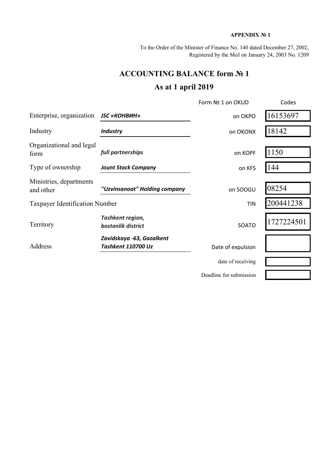### **APPENDIX № 1**

To the Order of the Minister of Finance No. 140 dated December 27, 2002, Registered by the MoJ on January 24, 2003 No. 1209

## **ACCOUNTING BALANCE form № 1**

# **As at 1 april 2019**

|                                      |                                                        | Form Nº 1 on OKUD       | Codes      |
|--------------------------------------|--------------------------------------------------------|-------------------------|------------|
| Enterprise, organization             | <b>JSC «КОНВИН»</b>                                    | on OKPO                 | 16153697   |
| Industry                             | <b>Industry</b>                                        | on OKONX                | 18142      |
| Organizational and legal<br>form     | full partnerships                                      | on KOPF                 | 1150       |
| Type of ownership                    | <b>Jount Stock Company</b>                             | on KFS                  | 144        |
| Ministries, departments<br>and other | "Uzvinsanoat" Holding company                          | on SOOGU                | 08254      |
| Taxpayer Identification Number       |                                                        | <b>TIN</b>              | 200441238  |
| Territory                            | Tashkent region,<br>bostanlik district                 | <b>SOATO</b>            | 1727224501 |
| Address                              | Zavidskaya -63, Gazalkent<br><b>Tashkent 110700 Uz</b> | Date of expulsion       |            |
|                                      |                                                        | date of receiving       |            |
|                                      |                                                        | Deadline for submission |            |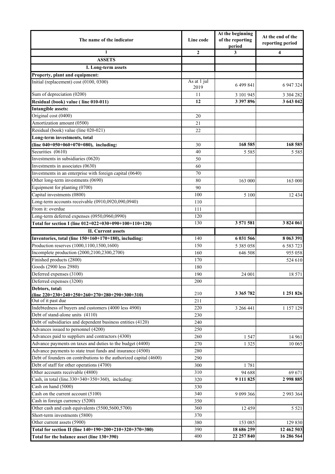|                                                                    |                     | At the beginning           | At the end of the |  |
|--------------------------------------------------------------------|---------------------|----------------------------|-------------------|--|
| The name of the indicator                                          | Line code           | of the reporting<br>period | reporting period  |  |
| $\mathbf{1}$                                                       | $\boldsymbol{2}$    | 3                          | 4                 |  |
| <b>ASSETS</b>                                                      |                     |                            |                   |  |
| I. Long-term assets                                                |                     |                            |                   |  |
| Property, plant and equipment:                                     |                     |                            |                   |  |
| Initial (replacement) cost (0100, 0300)                            | As at 1 jul<br>2019 | 6 499 841                  | 6 947 324         |  |
| Sum of depreciation (0200)                                         | 11                  | 3 101 945                  | 3 3 0 4 2 8 2     |  |
| Residual (book) value (line 010-011)                               | 12                  | 3 397 896                  | 3 643 042         |  |
| <b>Intangible assets:</b>                                          |                     |                            |                   |  |
| Original cost (0400)                                               | 20                  |                            |                   |  |
| Amortization amount (0500)                                         | 21                  |                            |                   |  |
| Residual (book) value (line 020-021)                               | 22                  |                            |                   |  |
| Long-term investments, total                                       |                     |                            |                   |  |
| (line $040+050+060+070+080$ ), including:                          | 30                  | 168 585                    | 168 585           |  |
| Securities (0610)                                                  | 40                  | 5 5 8 5                    | 5 5 8 5           |  |
| Investments in subsidiaries (0620)                                 | 50                  |                            |                   |  |
| Investments in associates (0630)                                   | 60                  |                            |                   |  |
| Investments in an enterprise with foreign capital (0640)           | 70                  |                            |                   |  |
| Other long-term investments (0690)                                 | 80                  | 163 000                    | 163 000           |  |
| Equipment for planting (0700)                                      | 90                  |                            |                   |  |
| Capital investments (0800)                                         | 100                 | 5 100                      | 12 4 34           |  |
| Long-term accounts receivable (0910,0920,090,0940)                 | 110                 |                            |                   |  |
| From it: overdue                                                   | 111                 |                            |                   |  |
| Long-term deferred expenses (0950,0960,0990)                       | 120                 |                            |                   |  |
| Total for section I (line 012+022+030+090+100+110+120)             | 130                 | 3 571 581                  | 3824061           |  |
| <b>II. Current assets</b>                                          |                     |                            |                   |  |
| Inventories, total (line 150+160+170+180), including:              | 140                 | 6 031 566                  | 8 063 391         |  |
| Production reserves (1000,1100,1500,1600)                          | 150                 | 5 3 8 5 0 5 8              | 6 5 8 3 7 2 3     |  |
| Incomplete production (2000,2100,2300,2700)                        | 160                 | 646 508                    | 955 058           |  |
| Finished products (2800)                                           | 170                 |                            |                   |  |
| Goods (2900 less 2980)                                             |                     |                            | 524 610           |  |
|                                                                    | 180                 |                            |                   |  |
| Deferred expenses (3100)                                           | 190                 | 24 001                     | 18 571            |  |
| Deferred expenses (3200)<br>Debtors, total:                        | 200                 |                            |                   |  |
| (line $220+230+240+250+260+270+280+290+300+310$ )                  | 210                 | 3 3 6 5 7 8 2              | 1 251 826         |  |
| Out of it past due                                                 | 211                 |                            |                   |  |
| Indebtedness of buyers and customers (4000 less 4900)              | 220                 | 3 266 441                  | 1 157 129         |  |
| Debt of stand-alone units (4110)                                   | 230                 |                            |                   |  |
| Debt of subsidiaries and dependent business entities (4120)        | 240                 |                            |                   |  |
| Advances issued to personnel (4200)                                | 250                 |                            |                   |  |
| Advances paid to suppliers and contractors (4300)                  | 260                 | 1547                       | 14 961            |  |
| Advance payments on taxes and duties to the budget (4400)          | 270                 | 1 3 2 5                    | 10 065            |  |
| Advance payments to state trust funds and insurance (4500)         | 280                 |                            |                   |  |
| Debt of founders on contributions to the authorized capital (4600) | 290                 |                            |                   |  |
| Debt of staff for other operations (4700)                          | 300                 | 1781                       |                   |  |
| Other accounts receivable (4800)                                   | 310                 | 94 688                     | 69 671            |  |
| Cash, in total (line.330+340+350+360), including:                  | 320                 | 9 111 825                  | 2998885           |  |
| Cash on hand (5000)                                                | 330                 |                            |                   |  |
| Cash on the current account (5100)                                 | 340                 | 9 0 9 3 5 6                | 2 9 9 3 3 6 4     |  |
| Cash in foreign currency (5200)                                    | 350                 |                            |                   |  |
| Other cash and cash equivalents (5500,5600,5700)                   | 360                 | 12 4 5 9                   | 5 5 2 1           |  |
| Short-term investments (5800)                                      | 370                 |                            |                   |  |
| Other current assets (5900)                                        | 380                 | 153 085                    | 129 830           |  |
| Total for section II (line 140+190+200+210+320+370+380)            | 390                 | 18 686 259                 | 12 462 503        |  |
| Total for the balance asset (line 130+390)                         | 400                 | 22 257 840                 | 16 286 564        |  |
|                                                                    |                     |                            |                   |  |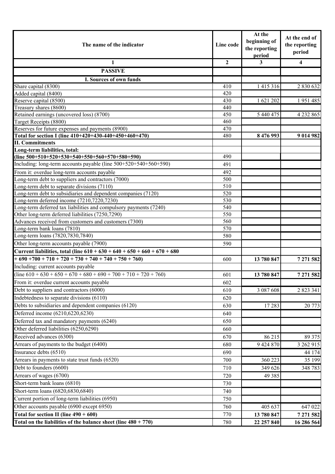| The name of the indicator                                                                                 |              | At the<br>beginning of<br>the reporting<br>period | At the end of<br>the reporting<br>period |
|-----------------------------------------------------------------------------------------------------------|--------------|---------------------------------------------------|------------------------------------------|
| 1                                                                                                         | $\mathbf{2}$ | 3                                                 | $\overline{\mathbf{4}}$                  |
| <b>PASSIVE</b>                                                                                            |              |                                                   |                                          |
| I. Sources of own funds                                                                                   |              |                                                   |                                          |
| Share capital (8300)                                                                                      | 410          | 1 4 1 5 3 1 6                                     | 2 830 632                                |
| Added capital (8400)                                                                                      | 420          |                                                   |                                          |
| Reserve capital (8500)                                                                                    | 430          | 1 621 202                                         | 1951485                                  |
| Treasury shares (8600)                                                                                    | 440          |                                                   |                                          |
| Retained earnings (uncovered loss) (8700)                                                                 | 450          | 5 440 475                                         | 4 2 3 2 8 6 5                            |
| Target Receipts (8800)                                                                                    | 460          |                                                   |                                          |
| Reserves for future expenses and payments (8900)                                                          | 470          |                                                   |                                          |
| Total for section I (line 410+420+430-440+450+460+470)                                                    | 480          | 8 476 993                                         | 9 014 982                                |
| <b>II. Commitments</b>                                                                                    |              |                                                   |                                          |
| Long-term liabilities, total:                                                                             |              |                                                   |                                          |
| (line $500+510+520+530+540+550+560+570+580+590$ )                                                         | 490          |                                                   |                                          |
| Including: long-term accounts payable (line 500+520+540+560+590)                                          | 491          |                                                   |                                          |
| From it: overdue long-term accounts payable                                                               | 492          |                                                   |                                          |
| Long-term debt to suppliers and contractors (7000)                                                        | 500          |                                                   |                                          |
| Long-term debt to separate divisions (7110)                                                               | 510          |                                                   |                                          |
| Long-term debt to subsidiaries and dependent companies (7120)                                             | 520          |                                                   |                                          |
| Long-term deferred income (7210,7220,7230)                                                                | 530          |                                                   |                                          |
| Long-term deferred tax liabilities and compulsory payments (7240)                                         | 540          |                                                   |                                          |
| Other long-term deferred liabilities (7250,7290)<br>Advances received from customers and customers (7300) | 550<br>560   |                                                   |                                          |
| Long-term bank loans (7810)                                                                               | 570          |                                                   |                                          |
| Long-term loans (7820,7830,7840)                                                                          | 580          |                                                   |                                          |
| Other long-term accounts payable (7900)                                                                   | 590          |                                                   |                                          |
| Current liabilities, total (line $610 + 630 + 640 + 650 + 660 + 670 + 680$                                |              |                                                   |                                          |
| $+690+700+710+720+730+740+740+750+760$                                                                    | 600          | 13 780 847                                        | 7 271 582                                |
| Including: current accounts payable                                                                       |              |                                                   |                                          |
| $(\text{line } 610 + 630 + 650 + 670 + 680 + 690 + 700 + 710 + 720 + 760)$                                | 601          | 13 780 847                                        | 7 271 582                                |
| From it: overdue current accounts payable                                                                 | 602          |                                                   |                                          |
| Debt to suppliers and contractors (6000)                                                                  | 610          | 3 087 608                                         | 2 823 341                                |
| Indebtedness to separate divisions (6110)                                                                 |              |                                                   |                                          |
|                                                                                                           | 620          |                                                   |                                          |
| Debts to subsidiaries and dependent companies (6120)                                                      | 630          | 17283                                             | 20 773                                   |
| Deferred income (6210,6220,6230)                                                                          | 640          |                                                   |                                          |
| Deferred tax and mandatory payments (6240)                                                                | 650          |                                                   |                                          |
| Other deferred liabilities (6250,6290)                                                                    | 660          |                                                   |                                          |
| Received advances (6300)                                                                                  | 670          | 86 215                                            | 89 375                                   |
| Arrears of payments to the budget (6400)                                                                  | 680          | 9 424 870                                         | 3 262 915                                |
| Insurance debts (6510)                                                                                    | 690          |                                                   | 44 174                                   |
| Arrears in payments to state trust funds (6520)                                                           | 700          | 360 223                                           | 35 199                                   |
| Debt to founders (6600)                                                                                   | 710          | 349 626                                           | 348 783                                  |
| Arrears of wages (6700)                                                                                   | 720          | 49 3 8 5                                          |                                          |
| Short-term bank loans (6810)                                                                              | 730          |                                                   |                                          |
| Short-term loans (6820,6830,6840)                                                                         | 740          |                                                   |                                          |
| Current portion of long-term liabilities (6950)                                                           | 750          |                                                   |                                          |
| Other accounts payable (6900 except 6950)                                                                 | 760          | 405 637                                           | 647 022                                  |
| Total for section II (line $490 + 600$ )                                                                  | 770          | 13 780 847                                        | 7 271 582                                |
| Total on the liabilities of the balance sheet (line $480 + 770$ )                                         | 780          | 22 257 840                                        | 16 286 564                               |